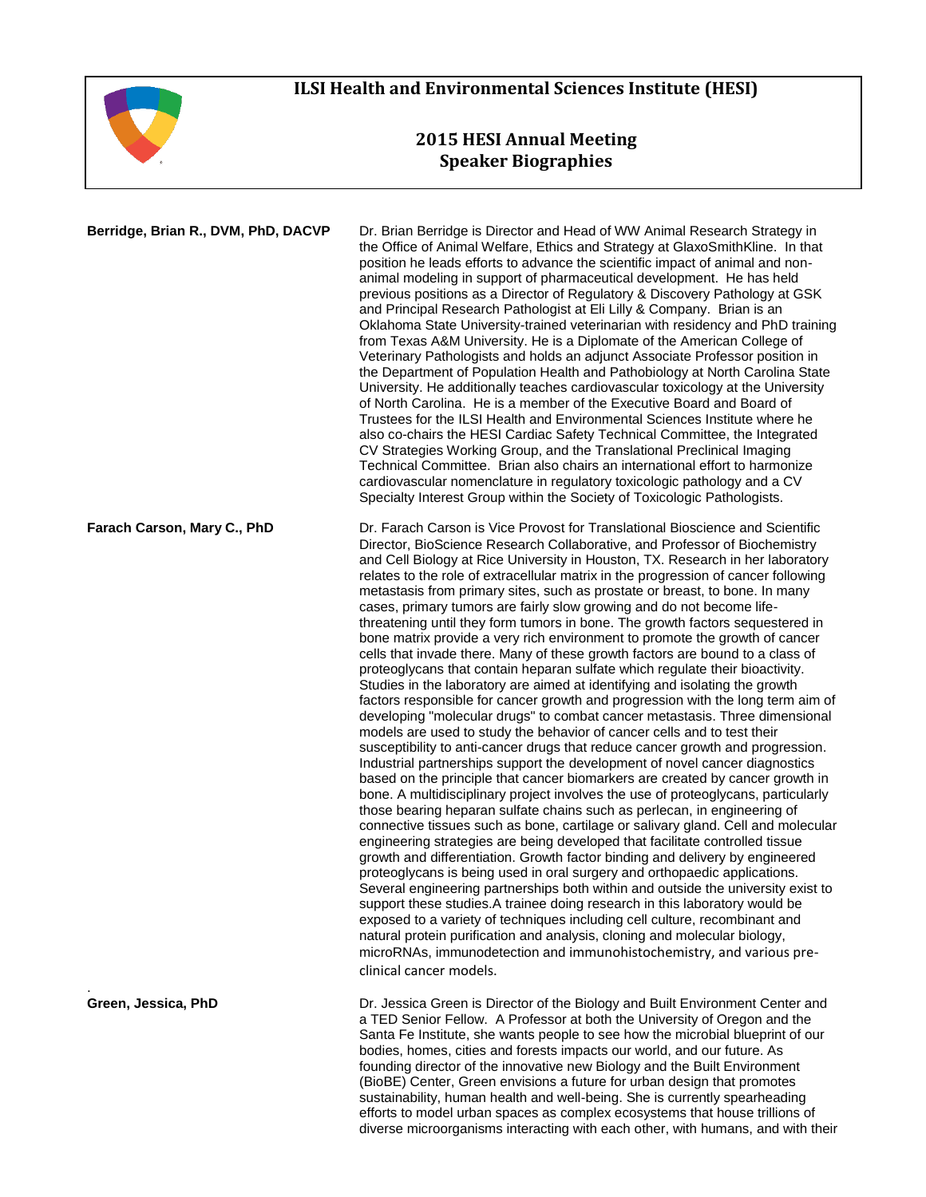

## **ILSI Health and Environmental Sciences Institute (HESI)**

## **2015 HESI Annual Meeting Speaker Biographies**

| Berridge, Brian R., DVM, PhD, DACVP | Dr. Brian Berridge is Director and Head of WW Animal Research Strategy in<br>the Office of Animal Welfare, Ethics and Strategy at GlaxoSmithKline. In that<br>position he leads efforts to advance the scientific impact of animal and non-<br>animal modeling in support of pharmaceutical development. He has held<br>previous positions as a Director of Regulatory & Discovery Pathology at GSK<br>and Principal Research Pathologist at Eli Lilly & Company. Brian is an<br>Oklahoma State University-trained veterinarian with residency and PhD training<br>from Texas A&M University. He is a Diplomate of the American College of<br>Veterinary Pathologists and holds an adjunct Associate Professor position in<br>the Department of Population Health and Pathobiology at North Carolina State<br>University. He additionally teaches cardiovascular toxicology at the University<br>of North Carolina. He is a member of the Executive Board and Board of<br>Trustees for the ILSI Health and Environmental Sciences Institute where he<br>also co-chairs the HESI Cardiac Safety Technical Committee, the Integrated<br>CV Strategies Working Group, and the Translational Preclinical Imaging<br>Technical Committee. Brian also chairs an international effort to harmonize<br>cardiovascular nomenclature in regulatory toxicologic pathology and a CV<br>Specialty Interest Group within the Society of Toxicologic Pathologists.                                                                                                                                                                                                                                                                                                                                                                                                                                                                                                                                                                                                                                                                                                                                                                                                                                                                                            |
|-------------------------------------|------------------------------------------------------------------------------------------------------------------------------------------------------------------------------------------------------------------------------------------------------------------------------------------------------------------------------------------------------------------------------------------------------------------------------------------------------------------------------------------------------------------------------------------------------------------------------------------------------------------------------------------------------------------------------------------------------------------------------------------------------------------------------------------------------------------------------------------------------------------------------------------------------------------------------------------------------------------------------------------------------------------------------------------------------------------------------------------------------------------------------------------------------------------------------------------------------------------------------------------------------------------------------------------------------------------------------------------------------------------------------------------------------------------------------------------------------------------------------------------------------------------------------------------------------------------------------------------------------------------------------------------------------------------------------------------------------------------------------------------------------------------------------------------------------------------------------------------------------------------------------------------------------------------------------------------------------------------------------------------------------------------------------------------------------------------------------------------------------------------------------------------------------------------------------------------------------------------------------------------------------------------------------------------------------------------------------------------------|
| Farach Carson, Mary C., PhD         | Dr. Farach Carson is Vice Provost for Translational Bioscience and Scientific<br>Director, BioScience Research Collaborative, and Professor of Biochemistry<br>and Cell Biology at Rice University in Houston, TX. Research in her laboratory<br>relates to the role of extracellular matrix in the progression of cancer following<br>metastasis from primary sites, such as prostate or breast, to bone. In many<br>cases, primary tumors are fairly slow growing and do not become life-<br>threatening until they form tumors in bone. The growth factors sequestered in<br>bone matrix provide a very rich environment to promote the growth of cancer<br>cells that invade there. Many of these growth factors are bound to a class of<br>proteoglycans that contain heparan sulfate which regulate their bioactivity.<br>Studies in the laboratory are aimed at identifying and isolating the growth<br>factors responsible for cancer growth and progression with the long term aim of<br>developing "molecular drugs" to combat cancer metastasis. Three dimensional<br>models are used to study the behavior of cancer cells and to test their<br>susceptibility to anti-cancer drugs that reduce cancer growth and progression.<br>Industrial partnerships support the development of novel cancer diagnostics<br>based on the principle that cancer biomarkers are created by cancer growth in<br>bone. A multidisciplinary project involves the use of proteoglycans, particularly<br>those bearing heparan sulfate chains such as perlecan, in engineering of<br>connective tissues such as bone, cartilage or salivary gland. Cell and molecular<br>engineering strategies are being developed that facilitate controlled tissue<br>growth and differentiation. Growth factor binding and delivery by engineered<br>proteoglycans is being used in oral surgery and orthopaedic applications.<br>Several engineering partnerships both within and outside the university exist to<br>support these studies. A trainee doing research in this laboratory would be<br>exposed to a variety of techniques including cell culture, recombinant and<br>natural protein purification and analysis, cloning and molecular biology,<br>microRNAs, immunodetection and immunohistochemistry, and various pre-<br>clinical cancer models. |
| Green, Jessica, PhD                 | Dr. Jessica Green is Director of the Biology and Built Environment Center and<br>a TED Senior Fellow. A Professor at both the University of Oregon and the<br>Santa Fe Institute, she wants people to see how the microbial blueprint of our<br>bodies, homes, cities and forests impacts our world, and our future. As<br>founding director of the innovative new Biology and the Built Environment<br>(BioBE) Center, Green envisions a future for urban design that promotes                                                                                                                                                                                                                                                                                                                                                                                                                                                                                                                                                                                                                                                                                                                                                                                                                                                                                                                                                                                                                                                                                                                                                                                                                                                                                                                                                                                                                                                                                                                                                                                                                                                                                                                                                                                                                                                                |

sustainability, human health and well-being. She is currently spearheading efforts to model urban spaces as complex ecosystems that house trillions of diverse microorganisms interacting with each other, with humans, and with their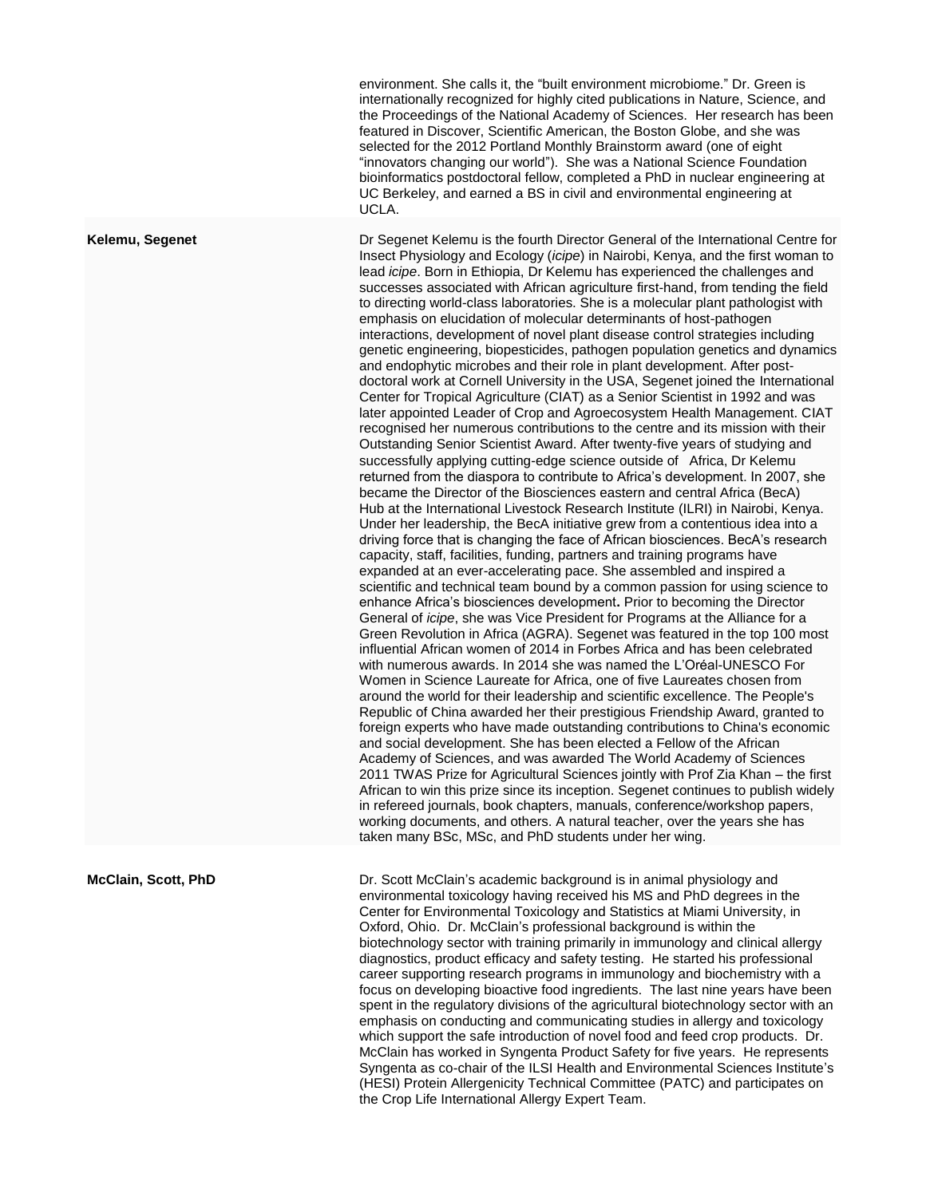environment. She calls it, the "built environment microbiome." Dr. Green is internationally recognized for highly cited publications in Nature, Science, and the Proceedings of the National Academy of Sciences. Her research has been featured in Discover, Scientific American, the Boston Globe, and she was selected for the 2012 Portland Monthly Brainstorm award (one of eight "innovators changing our world"). She was a National Science Foundation bioinformatics postdoctoral fellow, completed a PhD in nuclear engineering at UC Berkeley, and earned a BS in civil and environmental engineering at UCLA.

**Kelemu, Segenet** Dr Segenet Kelemu is the fourth Director General of the International Centre for Insect Physiology and Ecology (*icipe*) in Nairobi, Kenya, and the first woman to lead *icipe*. Born in Ethiopia, Dr Kelemu has experienced the challenges and successes associated with African agriculture first-hand, from tending the field to directing world-class laboratories. She is a molecular plant pathologist with emphasis on elucidation of molecular determinants of host-pathogen interactions, development of novel plant disease control strategies including genetic engineering, biopesticides, pathogen population genetics and dynamics and endophytic microbes and their role in plant development. After postdoctoral work at Cornell University in the USA, Segenet joined the International Center for Tropical Agriculture (CIAT) as a Senior Scientist in 1992 and was later appointed Leader of Crop and Agroecosystem Health Management. CIAT recognised her numerous contributions to the centre and its mission with their Outstanding Senior Scientist Award. After twenty-five years of studying and successfully applying cutting-edge science outside of Africa, Dr Kelemu returned from the diaspora to contribute to Africa's development. In 2007, she became the Director of the Biosciences eastern and central Africa (BecA) Hub at the International Livestock Research Institute (ILRI) in Nairobi, Kenya. Under her leadership, the BecA initiative grew from a contentious idea into a driving force that is changing the face of African biosciences. BecA's research capacity, staff, facilities, funding, partners and training programs have expanded at an ever-accelerating pace. She assembled and inspired a scientific and technical team bound by a common passion for using science to enhance Africa's biosciences development**.** Prior to becoming the Director General of *icipe*, she was Vice President for Programs at the Alliance for a Green Revolution in Africa (AGRA). Segenet was featured in the top 100 most influential African women of 2014 in Forbes Africa and has been celebrated with numerous awards. In 2014 she was named the L'Oréal-UNESCO For Women in Science Laureate for Africa, one of five Laureates chosen from around the world for their leadership and scientific excellence. The People's Republic of China awarded her their prestigious Friendship Award, granted to foreign experts who have made outstanding contributions to China's economic and social development. She has been elected a Fellow of the African Academy of Sciences, and was awarded The World Academy of Sciences 2011 TWAS Prize for Agricultural Sciences jointly with Prof Zia Khan – the first African to win this prize since its inception. Segenet continues to publish widely in refereed journals, book chapters, manuals, conference/workshop papers, working documents, and others. A natural teacher, over the years she has taken many BSc, MSc, and PhD students under her wing.

**McClain, Scott, PhD** Dr. Scott McClain's academic background is in animal physiology and environmental toxicology having received his MS and PhD degrees in the Center for Environmental Toxicology and Statistics at Miami University, in Oxford, Ohio. Dr. McClain's professional background is within the biotechnology sector with training primarily in immunology and clinical allergy diagnostics, product efficacy and safety testing. He started his professional career supporting research programs in immunology and biochemistry with a focus on developing bioactive food ingredients. The last nine years have been spent in the regulatory divisions of the agricultural biotechnology sector with an emphasis on conducting and communicating studies in allergy and toxicology which support the safe introduction of novel food and feed crop products. Dr. McClain has worked in Syngenta Product Safety for five years. He represents Syngenta as co-chair of the ILSI Health and Environmental Sciences Institute's (HESI) Protein Allergenicity Technical Committee (PATC) and participates on the Crop Life International Allergy Expert Team.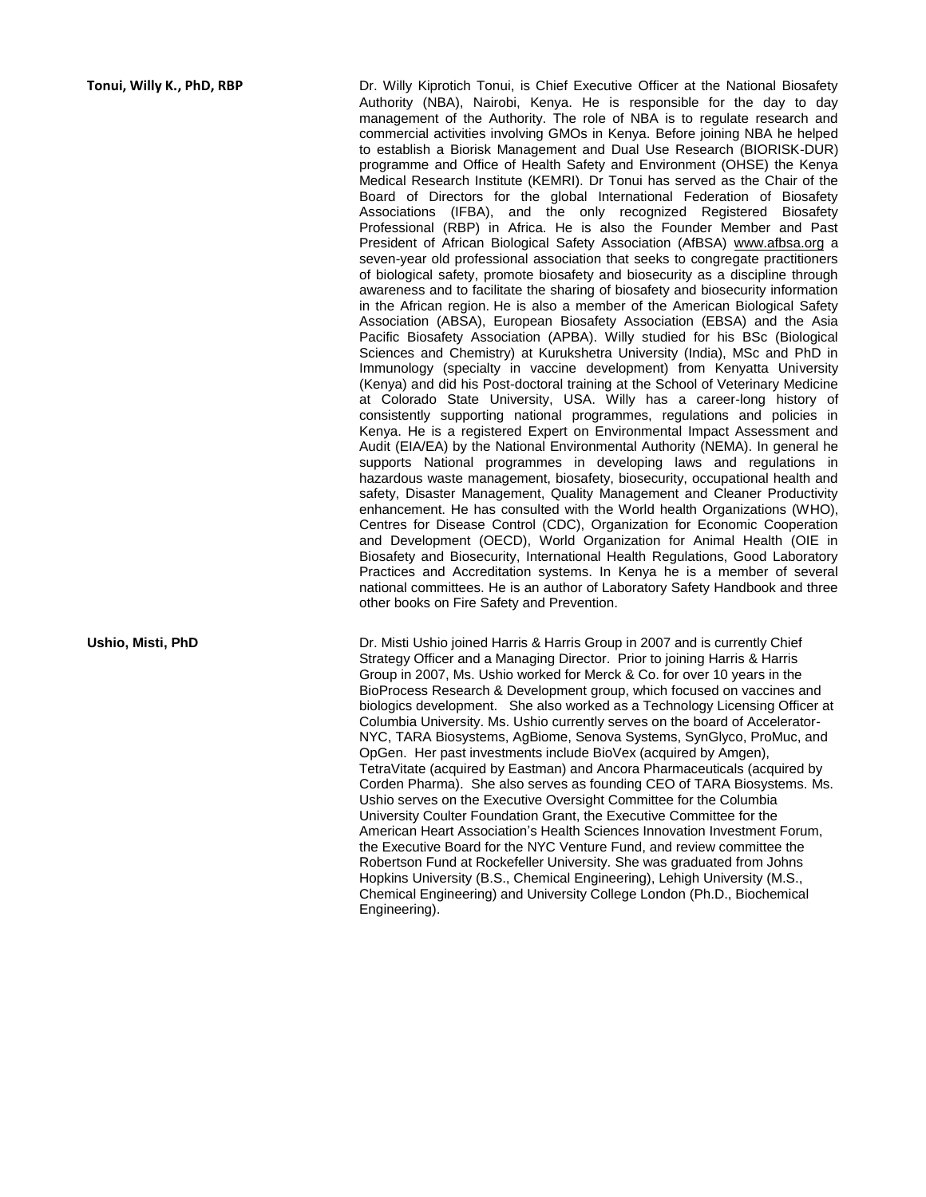**Tonui, Willy K., PhD, RBP** Dr. Willy Kiprotich Tonui, is Chief Executive Officer at the National Biosafety Authority (NBA), Nairobi, Kenya. He is responsible for the day to day management of the Authority. The role of NBA is to regulate research and commercial activities involving GMOs in Kenya. Before joining NBA he helped to establish a Biorisk Management and Dual Use Research (BIORISK-DUR) programme and Office of Health Safety and Environment (OHSE) the Kenya Medical Research Institute (KEMRI). Dr Tonui has served as the Chair of the Board of Directors for the global International Federation of Biosafety Associations (IFBA), and the only recognized Registered Biosafety Professional (RBP) in Africa. He is also the Founder Member and Past President of African Biological Safety Association (AfBSA) www.afbsa.org a seven-year old professional association that seeks to congregate practitioners of biological safety, promote biosafety and biosecurity as a discipline through awareness and to facilitate the sharing of biosafety and biosecurity information in the African region. He is also a member of the American Biological Safety Association (ABSA), European Biosafety Association (EBSA) and the Asia Pacific Biosafety Association (APBA). Willy studied for his BSc (Biological Sciences and Chemistry) at Kurukshetra University (India), MSc and PhD in Immunology (specialty in vaccine development) from Kenyatta University (Kenya) and did his Post-doctoral training at the School of Veterinary Medicine at Colorado State University, USA. Willy has a career-long history of consistently supporting national programmes, regulations and policies in Kenya. He is a registered Expert on Environmental Impact Assessment and Audit (EIA/EA) by the National Environmental Authority (NEMA). In general he supports National programmes in developing laws and regulations in hazardous waste management, biosafety, biosecurity, occupational health and safety, Disaster Management, Quality Management and Cleaner Productivity enhancement. He has consulted with the World health Organizations (WHO), Centres for Disease Control (CDC), Organization for Economic Cooperation and Development (OECD), World Organization for Animal Health (OIE in Biosafety and Biosecurity, International Health Regulations, Good Laboratory Practices and Accreditation systems. In Kenya he is a member of several national committees. He is an author of Laboratory Safety Handbook and three other books on Fire Safety and Prevention.

**Ushio, Misti, PhD** Dr. Misti Ushio joined Harris & Harris Group in 2007 and is currently Chief Strategy Officer and a Managing Director. Prior to joining Harris & Harris Group in 2007, Ms. Ushio worked for Merck & Co. for over 10 years in the BioProcess Research & Development group, which focused on vaccines and biologics development. She also worked as a Technology Licensing Officer at Columbia University. Ms. Ushio currently serves on the board of Accelerator-NYC, TARA Biosystems, AgBiome, Senova Systems, SynGlyco, ProMuc, and OpGen. Her past investments include BioVex (acquired by Amgen), TetraVitate (acquired by Eastman) and Ancora Pharmaceuticals (acquired by Corden Pharma). She also serves as founding CEO of TARA Biosystems. Ms. Ushio serves on the Executive Oversight Committee for the Columbia University Coulter Foundation Grant, the Executive Committee for the American Heart Association's Health Sciences Innovation Investment Forum, the Executive Board for the NYC Venture Fund, and review committee the Robertson Fund at Rockefeller University. She was graduated from Johns Hopkins University (B.S., Chemical Engineering), Lehigh University (M.S., Chemical Engineering) and University College London (Ph.D., Biochemical Engineering).